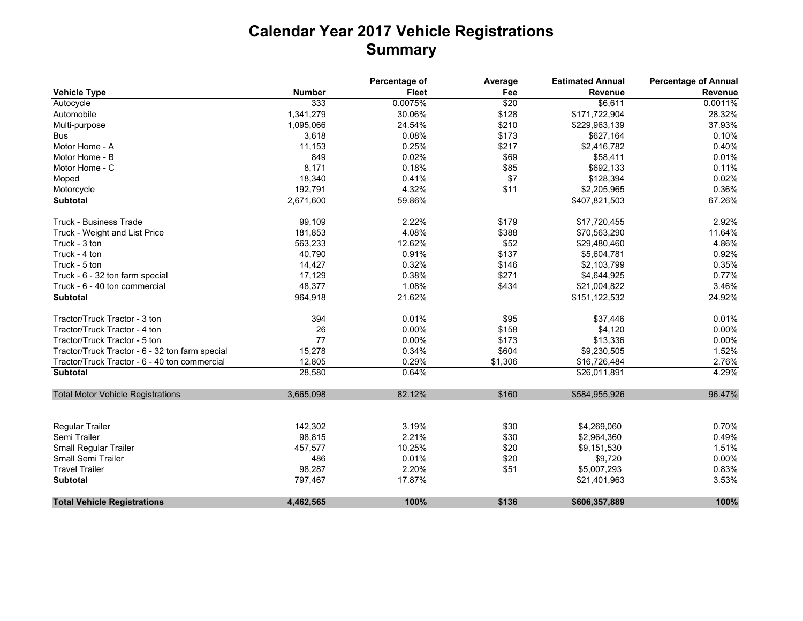## **Calendar Year 2017 Vehicle Registrations Summary**

|                                                 |               | Percentage of | Average | <b>Estimated Annual</b> | <b>Percentage of Annual</b> |
|-------------------------------------------------|---------------|---------------|---------|-------------------------|-----------------------------|
| <b>Vehicle Type</b>                             | <b>Number</b> | <b>Fleet</b>  | Fee     | Revenue                 | Revenue                     |
| Autocycle                                       | 333           | 0.0075%       | \$20    | \$6,611                 | 0.0011%                     |
| Automobile                                      | 1,341,279     | 30.06%        | \$128   | \$171,722,904           | 28.32%                      |
| Multi-purpose                                   | 1,095,066     | 24.54%        | \$210   | \$229,963,139           | 37.93%                      |
| <b>Bus</b>                                      | 3,618         | 0.08%         | \$173   | \$627,164               | 0.10%                       |
| Motor Home - A                                  | 11,153        | 0.25%         | \$217   | \$2,416,782             | 0.40%                       |
| Motor Home - B                                  | 849           | 0.02%         | \$69    | \$58,411                | 0.01%                       |
| Motor Home - C                                  | 8,171         | 0.18%         | \$85    | \$692,133               | 0.11%                       |
| Moped                                           | 18,340        | 0.41%         | \$7     | \$128,394               | 0.02%                       |
| Motorcycle                                      | 192,791       | 4.32%         | \$11    | \$2,205,965             | 0.36%                       |
| <b>Subtotal</b>                                 | 2,671,600     | 59.86%        |         | \$407,821,503           | 67.26%                      |
| <b>Truck - Business Trade</b>                   | 99,109        | 2.22%         | \$179   | \$17,720,455            | 2.92%                       |
| Truck - Weight and List Price                   | 181,853       | 4.08%         | \$388   | \$70,563,290            | 11.64%                      |
| Truck - 3 ton                                   | 563,233       | 12.62%        | \$52    | \$29,480,460            | 4.86%                       |
| Truck - 4 ton                                   | 40,790        | 0.91%         | \$137   | \$5,604,781             | 0.92%                       |
| Truck - 5 ton                                   | 14,427        | 0.32%         | \$146   | \$2,103,799             | 0.35%                       |
| Truck - 6 - 32 ton farm special                 | 17,129        | 0.38%         | \$271   | \$4,644,925             | 0.77%                       |
| Truck - 6 - 40 ton commercial                   | 48,377        | 1.08%         | \$434   | \$21,004,822            | 3.46%                       |
| <b>Subtotal</b>                                 | 964,918       | 21.62%        |         | \$151,122,532           | 24.92%                      |
| Tractor/Truck Tractor - 3 ton                   | 394           | 0.01%         | \$95    | \$37,446                | 0.01%                       |
| Tractor/Truck Tractor - 4 ton                   | 26            | 0.00%         | \$158   | \$4,120                 | 0.00%                       |
| Tractor/Truck Tractor - 5 ton                   | 77            | 0.00%         | \$173   | \$13,336                | 0.00%                       |
| Tractor/Truck Tractor - 6 - 32 ton farm special | 15,278        | 0.34%         | \$604   | \$9,230,505             | 1.52%                       |
| Tractor/Truck Tractor - 6 - 40 ton commercial   | 12,805        | 0.29%         | \$1,306 | \$16,726,484            | 2.76%                       |
| <b>Subtotal</b>                                 | 28,580        | 0.64%         |         | \$26,011,891            | 4.29%                       |
| <b>Total Motor Vehicle Registrations</b>        | 3,665,098     | 82.12%        | \$160   | \$584,955,926           | 96.47%                      |
| <b>Regular Trailer</b>                          | 142,302       | 3.19%         | \$30    | \$4,269,060             | 0.70%                       |
| Semi Trailer                                    | 98,815        | 2.21%         | \$30    | \$2,964,360             | 0.49%                       |
| <b>Small Regular Trailer</b>                    | 457,577       | 10.25%        | \$20    | \$9,151,530             | 1.51%                       |
| <b>Small Semi Trailer</b>                       | 486           | 0.01%         | \$20    | \$9,720                 | 0.00%                       |
| <b>Travel Trailer</b>                           | 98,287        | 2.20%         | \$51    | \$5,007,293             | 0.83%                       |
| <b>Subtotal</b>                                 | 797,467       | 17.87%        |         | \$21,401,963            | 3.53%                       |
| <b>Total Vehicle Registrations</b>              | 4,462,565     | 100%          | \$136   | \$606,357,889           | 100%                        |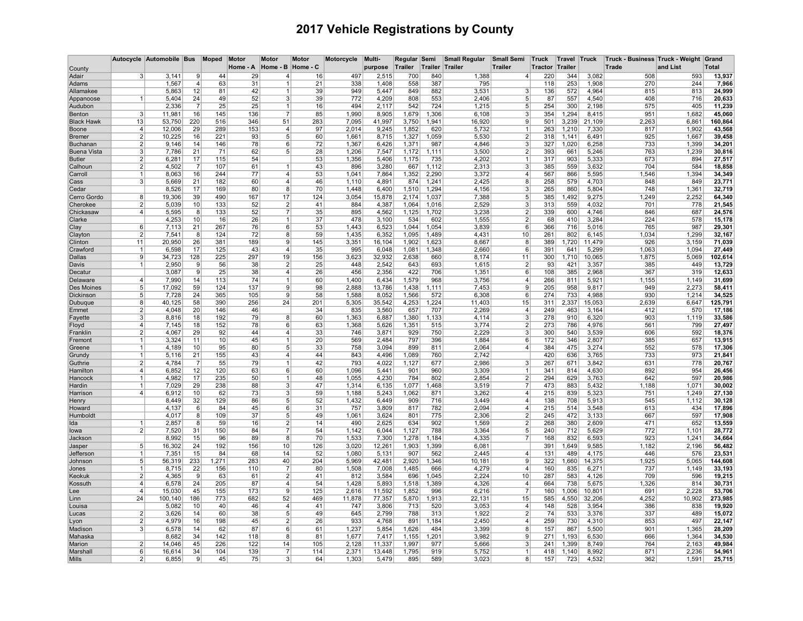## 2017 Vehicle Registrations by County

|                          |                                  | Autocycle Automobile Bus |                      | Moped      | Motor<br>Home - A | <b>Motor</b><br>Home - B | Motor<br>Home - C | Motorcycle     | Multi-<br>purpose | Regular Semi<br>Trailer | Trailer      | <b>Small Regular</b><br>Trailer | <b>Small Semi</b><br><b>Trailer</b> | <b>Truck</b><br><b>Tractor</b> | Travel<br>Trailer | <b>Truck</b>    | Truck - Business Truck - Weight<br>Trade | and List       | Grand<br><b>Total</b> |
|--------------------------|----------------------------------|--------------------------|----------------------|------------|-------------------|--------------------------|-------------------|----------------|-------------------|-------------------------|--------------|---------------------------------|-------------------------------------|--------------------------------|-------------------|-----------------|------------------------------------------|----------------|-----------------------|
| County<br>Adair          | 3                                | 3.141                    | 9                    | 44         | 29                | 4                        | 16                | 497            | 2,515             | 700                     | 840          | 1,388                           | 4                                   | 220                            | 344               | 3,082           | 508                                      | 593            | 13,937                |
| Adams                    |                                  | 1,567                    | $\overline{\bf{4}}$  | 63         | 31                |                          | 21                | 338            | 1,408             | 558                     | 387          | 795                             |                                     | 118                            | 253               | 1,908           | 270                                      | 244            | 7,966                 |
| Allamakee                |                                  | 5,863                    | 12                   | 81         | 42                | $\mathbf{1}$             | 39                | 949            | 5,447             | 849                     | 882          | 3,531                           | 3                                   | 136                            | 572               | 4,964           | 815                                      | 813            | 24,999                |
| Appanoose                | $\mathbf{1}$                     | 5,404                    | 24                   | 49         | 52                | 3                        | 39                | 772            | 4,209             | 808                     | 553          | 2,406                           | 5                                   | 87                             | 557               | 4,540           | 408                                      | 716            | 20,633                |
| Audubon                  |                                  | 2,336                    | 7                    | 25         | 25                | 1                        | 16                | 494            | 2,117             | 542                     | 724          | 1,215                           | 5                                   | 254                            | 300               | 2,198           | 575                                      | 405            | 11,239                |
| Benton                   | 3                                | 11,981                   | 16                   | 145        | 136               | $\overline{7}$           | 85                | 1,990          | 8,905             | 1,679                   | 1,306        | 6,108                           | 3                                   | 354                            | 1,294             | 8,415           | 951                                      | 1,682          | 45,060                |
| <b>Black Hawk</b>        | 13                               | 53,750                   | 220                  | 516        | 346               | 51                       | 283               | 7,095          | 41,997            | 3,750                   | 1,941        | 16,920                          | 9                                   | 501                            | 3,239             | 21,109          | 2,263                                    | 6,861          | 160,864               |
| Boone                    | 4                                | 12,006                   | 29                   | 289        | 153               | $\overline{4}$           | 97                | 2,014          | 9,245             | 1,852                   | 620          | 5,732                           | 1                                   | 263                            | 1,210             | 7,330           | 817                                      | 1,902          | 43,568                |
| <b>Bremer</b>            | $\overline{2}$                   | 10,225                   | 16                   | 221        | 93                | 5                        | 60                | 1,661          | 8,715             | 1,327                   | 1,059        | 5,530                           | $\overline{2}$                      | 318                            | 1,141             | 6,491           | 925                                      | 1,667          | 39,458                |
| Buchanan                 | 2 <sup>1</sup>                   | 9,146                    | 14                   | 146        | 78                | 6                        | 72                | 1,367          | 6,426             | 1,371                   | 987          | 4,846                           | 3                                   | 327                            | 1,020             | 6,258           | 733                                      | 1,399          | 34,201                |
| <b>Buena Vista</b>       | $\mathbf{3}$                     | 7,786                    | 21                   | 71         | 62                | 5                        | 28                | 1,206          | 7,547             | 1,172                   | 1,111        | 3,500                           | $\overline{2}$                      | 393                            | 661               | 5,246           | 763                                      | 1,239          | 30,816                |
| <b>Butler</b><br>Calhoun | 2 <sup>1</sup><br>2 <sup>2</sup> | 6,281<br>4,502           | 17<br>$\overline{7}$ | 115<br>107 | 54<br>61          |                          | 53<br>43          | 1,356<br>896   | 5,406<br>3,280    | 1,175<br>667            | 735<br>1,112 | 4,202<br>2,313                  | 1<br>3                              | 317<br>385                     | 903<br>559        | 5,333<br>3,632  | 673<br>704                               | 894<br>584     | 27,517<br>18,858      |
| Carroll                  |                                  | 8,063                    | 16                   | 244        | 77                | 4                        | 53                | 1,041          | 7,864             | 1,352                   | 2,290        | 3,372                           | 4                                   | 567                            | 866               | 5,595           | 1,546                                    | 1,394          | 34,349                |
| Cass                     | 3                                | 5,669                    | 21                   | 182        | 60                | 4                        | 46                | 1,110          | 4,891             | 874                     | 1,241        | 2,425                           | 8                                   | 258                            | 579               | 4,703           | 848                                      | 849            | 23,771                |
| Cedar                    |                                  | 8,526                    | 17                   | 169        | 80                | 8                        | 70                | 1,448          | 6,400             | 1,510                   | 1,294        | 4,156                           | 3                                   | 265                            | 860               | 5,804           | 748                                      | 1,361          | 32,719                |
| Cerro Gordo              | 8                                | 19,306                   | 39                   | 490        | 167               | 17                       | 124               | 3,054          | 15,878            | 2,174                   | 1,037        | 7,388                           | 5                                   | 385                            | 1,492             | 9,275           | 1,249                                    | 2,252          | 64,340                |
| Cherokee                 | $\overline{2}$                   | 5,039                    | 10                   | 133        | 52                | $\overline{2}$           | 41                | 884            | 4,387             | 1,064                   | 1,016        | 2,529                           | 3                                   | 313                            | 559               | 4,032           | 701                                      | 778            | 21,545                |
| Chickasaw                | $\vert$                          | 5,595                    | 8                    | 133        | 52                | $\overline{7}$           | 35                | 895            | 4,562             | 1,125                   | 1.702        | 3,238                           | $\overline{2}$                      | 339                            | 600               | 4,746           | 846                                      | 687            | 24,576                |
| Clarke                   |                                  | 4,253                    | 10                   | 16         | 26                | 1                        | 37                | 478            | 3.100             | 534                     | 602          | 1.555                           | $\overline{2}$                      | 68                             | 410               | 3,284           | 224                                      | 578            | 15.178                |
| Clay                     | 6                                | 7,113                    | 21                   | 267        | 76                | 6                        | 53                | 1,443          | 6,523             | 1,044                   | 1,054        | 3,839                           | 6                                   | 366                            | 716               | 5,016           | 765                                      | 987            | 29,301                |
| Clayton                  | $\overline{2}$                   | 7,541                    | 8                    | 124        | 72                | 8                        | 59                | 1,435          | 6,352             | 1,095                   | 1,489        | 4,431                           | 10                                  | 261                            | 802               | 6,145           | 1,034                                    | 1,299          | 32,167                |
| Clinton                  | 11                               | 20,950                   | 26                   | 381        | 189               | 9                        | 145               | 3,351          | 16,104            | 1,902                   | 1,623        | 8,667                           | 8                                   | 389                            | 1,720             | 11,479          | 926                                      | 3,159          | 71,039                |
| Crawford                 | -1                               | 6,598                    | 17                   | 125        | 43                | 4                        | 35                | 995            | 6,048             | 1,081                   | 1,348        | 2,660                           | 6                                   | 391                            | 641               | 5,299           | 1,063                                    | 1,094          | 27,449                |
| Dallas                   | $\mathbf{Q}$<br>1                | 34,723<br>2,950          | 128<br>9             | 225<br>56  | 297<br>38         | 19<br>$\overline{2}$     | 156<br>25         | 3,623<br>448   | 32,932<br>2,542   | 2,638<br>643            | 660<br>693   | 8,174<br>1,615                  | 11<br>$\overline{2}$                | 300<br>93                      | 1,710<br>421      | 10,065          | 1,875<br>385                             | 5,069<br>449   | 102,614<br>13,729     |
| Davis<br>Decatur         |                                  | 3,087                    | 9                    | 25         | 38                | $\overline{4}$           | 26                | 456            | 2,356             | 422                     | 706          | 1,351                           | 6                                   | 108                            | 385               | 3,357<br>2,968  | 367                                      | 319            | 12,633                |
| Delaware                 | 4                                | 7,990                    | 14                   | 113        | 74                | $\mathbf{1}$             | 60                | 1,400          | 6,434             | 1,579                   | 968          | 3,756                           | 4                                   | 266                            | 811               | 5,921           | 1,155                                    | 1,149          | 31,699                |
| Des Moines               | 5                                | 17,092                   | 59                   | 124        | 137               | 9                        | 98                | 2,888          | 13,786            | 1,438                   | 1,111        | 7,453                           | 9                                   | 205                            | 958               | 9,817           | 949                                      | 2,273          | 58,411                |
| Dickinson                | 5                                | 7,728                    | 24                   | 365        | 105               | 9                        | 58                | 1,588          | 8,052             | 1,566                   | 572          | 6,308                           | 6                                   | 274                            | 733               | 4,988           | 930                                      | 1,214          | 34,525                |
| Dubuque                  | 8                                | 40,125                   | 58                   | 390        | 256               | 24                       | 201               | 5,305          | 35,542            | 4,253                   | 1,224        | 11,403                          | 15                                  | 311                            | 2,337             | 15,053          | 2,639                                    | 6,647          | 125,791               |
| Emmet                    | $\overline{2}$                   | 4,048                    | 20                   | 146        | 46                |                          | 34                | 835            | 3,560             | 657                     | 707          | 2,269                           | $\overline{4}$                      | 249                            | 463               | 3,164           | 412                                      | 570            | 17,186                |
| Fayette                  | 3                                | 8,816                    | 18                   | 192        | 79                | 8                        | 60                | 1,363          | 6,887             | 1,380                   | 1,133        | 4,114                           | 3                                   | 278                            | 910               | 6,320           | 903                                      | 1,119          | 33,586                |
| Floyd                    | 4                                | 7,145                    | 18                   | 152        | 78                | $6 \overline{6}$         | 63                | 1,368          | 5,626             | 1,351                   | 515          | 3,774                           | 2                                   | 273                            | 786               | 4,976           | 561                                      | 799            | 27,497                |
| Franklin                 | $\overline{2}$                   | 4,067                    | 29                   | 92         | 44                | 4                        | 33                | 746            | 3,871             | 929                     | 750          | 2,229                           | 3                                   | 300                            | 540               | 3,539           | 606                                      | 592            | 18,376                |
| Fremont                  |                                  | 3,324                    | 11                   | 10         | 45                | $\mathbf{1}$             | 20                | 569            | 2,484             | 797                     | 396          | 1.884                           | 6                                   | 172                            | 346               | 2,807           | 385                                      | 657            | 13,915                |
| Greene                   | -1<br>-1                         | 4,189                    | 10                   | 95<br>155  | 80<br>43          | 5<br>$\overline{4}$      | 33<br>44          | 758<br>843     | 3,094             | 899                     | 811<br>760   | 2,064                           | 4                                   | 384<br>420                     | 475               | 3,274           | 552                                      | 578<br>973     | 17,306                |
| Grundy<br>Guthrie        | $\overline{2}$                   | 5,116<br>4,784           | 21<br>$\overline{7}$ | 55         | 79                | 1                        | 42                | 793            | 4,496<br>4,022    | 1,089<br>1,127          | 677          | 2,742<br>2,986                  | 3                                   | 267                            | 636<br>671        | 3,765<br>3,842  | 733<br>631                               | 778            | 21,841<br>20,767      |
| Hamilton                 | 4                                | 6,852                    | 12                   | 120        | 63                | 6                        | 60                | 1,096          | 5,441             | 901                     | 960          | 3,309                           | $\mathbf{1}$                        | 341                            | 814               | 4,630           | 892                                      | 954            | 26,456                |
| Hancock                  |                                  | 4,982                    | 17                   | 235        | 50                | 1                        | 48                | 1,055          | 4,230             | 784                     | 802          | 2,854                           | $\overline{2}$                      | 294                            | 629               | 3,763           | 642                                      | 597            | 20,986                |
| Hardin                   |                                  | 7,029                    | 29                   | 238        | 88                | 3                        | 47                | 1,314          | 6,135             | 1,077                   | ,468         | 3,519                           | 7                                   | 473                            | 883               | 5,432           | 1,188                                    | 1,071          | 30,002                |
| Harrison                 | 4                                | 6.912                    | 10                   | 62         | 73                | 3                        | 59                | 1,188          | 5,243             | 1,062                   | 871          | 3,262                           | 4                                   | 215                            | 839               | 5,323           | 751                                      | 1,249          | 27,130                |
| Henry                    |                                  | 8,449                    | 32                   | 129        | 86                | 5                        | 52                | 1,432          | 6,449             | 909                     | 716          | 3,449                           | $\overline{4}$                      | 138                            | 708               | 5,913           | 545                                      | 1,112          | 30,128                |
| Howard                   |                                  | 4,137                    | 6                    | 84         | 45                | 6                        | 31                | 757            | 3,809             | 817                     | 782          | 2,094                           | 4                                   | 215                            | 514               | 3,548           | 613                                      | 434            | 17,896                |
| Humboldt                 |                                  | 4.017                    | 8                    | 109        | 37                | 5 <sup>2</sup>           | 49                | 1.061          | 3,624             | 801                     | 775          | 2.306                           | $\overline{2}$                      | 245                            | 472               | 3,133           | 667                                      | 597            | 17,908                |
| Ida                      | -1                               | 2,857                    | 8                    | 59         | 16                | $\overline{2}$           | 14                | 490            | 2,625             | 634                     | 902          | 1,569                           | $\overline{2}$                      | 268                            | 380               | 2,609           | 471                                      | 652            | 13,559                |
| lowa                     | 2 <sup>1</sup>                   | 7,520                    | 31                   | 150        | 84                | $\overline{7}$           | 54                | 1,142          | 6,044             | 1,127                   | 788          | 3,364                           | 5                                   | 240                            | 712               | 5,629           | 772                                      | 1,101          | 28,772                |
| Jackson                  |                                  | 8,992                    | 15                   | 96         | 89                | 8                        | 70                | 1,533          | 7,300             | 1,278                   | 1,184        | 4,335                           | $\overline{7}$                      | 168                            | 832               | 6,593           | 923                                      | 1,241          | 34,664                |
| Jasper                   | 5 <sup>5</sup>                   | 16,302                   | 24<br>15             | 192<br>84  | 156               | 10 <sup>1</sup>          | 126               | 3,020          | 12,261            | 1,903                   | 1,399        | 6,081<br>2,445                  |                                     | 391                            | 1,649             | 9,585           | 1,182                                    | 2,196          | 56,482                |
| Jefferson<br>Johnson     | 5                                | 7,351<br>56,319          | 233                  | 1,271      | 68<br>283         | 14<br>40                 | 52<br>204         | 1,080<br>5,969 | 5,131<br>42,481   | 907<br>2,920            | 562<br>1,346 | 10,181                          | 4<br>9                              | 131<br>322                     | 489<br>1,660      | 4,175<br>14,375 | 446<br>1,925                             | 576<br>5,065   | 23,531<br>144,608     |
| Jones                    |                                  | 8,715                    | 22                   | 156        | 110               | $\overline{7}$           | 80                | 1,508          | 7,008             | 1,485                   | 666          | 4,279                           | $\overline{\mathbf{A}}$             | 160                            | 835               | 6,271           | 737                                      | 1,149          | 33,193                |
| Keokuk                   | $\overline{2}$                   | 4,365                    | 9                    | 63         | 61                | $\overline{2}$           | 41                | 812            | 3,584             | 696                     | 1,045        | 2,224                           | 10                                  | 287                            | 583               | 4,126           | 709                                      | 596            | 19,215                |
| Kossuth                  | $\boldsymbol{\Delta}$            | 6,578                    | 24                   | 205        | 87                | $\overline{4}$           | 54                | 1,428          | 5,893             | 1,518                   | 1,389        | 4,326                           | $\overline{4}$                      | 664                            | 738               | 5,675           | 1,326                                    | 814            | 30.731                |
| Lee                      | 4                                | 15,030                   | 45                   | 155        | 173               | 9                        | 125               | 2,616          | 11,592            | 1,852                   | 996          | 6,216                           | $\overline{7}$                      | 160                            | 1,006             | 10,801          | 691                                      | 2,228          | 53,706                |
| Linn                     | 24                               | 100,140                  | 186                  | 773        | 682               | 52                       | 469               | 11,878         | 77,357            | 5,870                   | 1,913        | 22,131                          | 15                                  | 585                            | 4,550             | 32,206          | 4,252                                    | 10,902         | 273,985               |
| Louisa                   |                                  | 5,082                    | 10                   | 40         | 46                | 4                        | 41                | 747            | 3,806             | 713                     | 520          | 3,053                           | $\overline{4}$                      | 148                            | 528               | 3,954           | 386                                      | 838            | 19,920                |
| Lucas                    | $\overline{2}$                   | 3,626                    | 14                   | 60         | 38                | 5                        | 49                | 645            | 2,799             | 788                     | 313          | 1,922                           | $\overline{2}$                      | 74                             | 533               | 3,376           | 337                                      | 489            | 15,072                |
| Lyon                     | $\overline{2}$                   | 4,979                    | 16                   | 198        | 45                | $\overline{2}$           | 26                | 933            | 4,768             | 891                     | 1,184        | 2,450                           | 4                                   | 259                            | 730               | 4,310           | 853                                      | 497            | 22,147                |
| Madison                  | 3 <sup>1</sup>                   | 6,578                    | 14                   | 62         | 87                | $6 \overline{6}$         | 61                | 1,237          | 5,854             | 1,626                   | 484          | 3,399                           | 8                                   | 157                            | 867               | 5,500           | 901                                      | 1,365          | 28,209                |
| Mahaska                  |                                  | 8,682                    | 34                   | 142        | 118               | 8                        | 81                | 1,677          | 7,417             | 1,155                   | 1,201        | 3,982                           | 9                                   | 271                            | 1,193             | 6,530           | 666                                      | 1,364          | 34,530                |
| Marion                   | 2 <sup>1</sup><br>6              | 14,046                   | 45<br>34             | 226<br>104 | 122<br>139        | 14<br>$\overline{7}$     | 105               | 2,128<br>2.371 | 11,337<br>13.448  | 1,997                   | 977<br>919   | 5,666                           | 3<br>$\mathbf{1}$                   | 241                            | 1,399<br>1.140    | 8,749           | 764<br>871                               | 2,163<br>2.236 | 49,984<br>54.961      |
| Marshall<br>Mills        | 2 <sup>2</sup>                   | 16.614<br>6,855          | 9                    | 45         | 75                | 3                        | 114<br>64         | 1,303          | 5,479             | 1,795<br>895            | 589          | 5,752<br>3,023                  | 8                                   | 418<br>157                     | 723               | 8,992<br>4,532  | 362                                      | 1,591          | 25,715                |
|                          |                                  |                          |                      |            |                   |                          |                   |                |                   |                         |              |                                 |                                     |                                |                   |                 |                                          |                |                       |